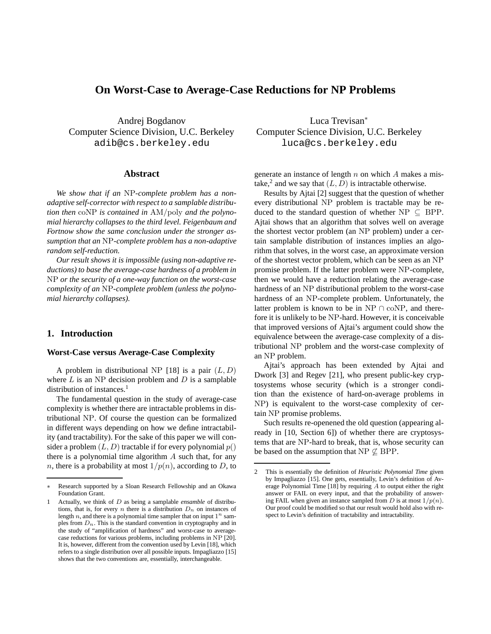# **On Worst-Case to Average-Case Reductions for NP Problems**

Andrej Bogdanov Computer Science Division, U.C. Berkeley adib@cs.berkeley.edu

## **Abstract**

*We show that if an* NP*-complete problem has a nonadaptive self-corrector with respect to a samplable distribution then* coNP *is contained in* AM/poly *and the polynomial hierarchy collapses to the third level. Feigenbaum and Fortnow show the same conclusion under the stronger assumption that an* NP*-complete problem has a non-adaptive random self-reduction.*

*Our result shows it is impossible (using non-adaptive reductions) to base the average-case hardness of a problem in* NP *or the security of a one-way function on the worst-case complexity of an* NP*-complete problem (unless the polynomial hierarchy collapses).*

# **1. Introduction**

## **Worst-Case versus Average-Case Complexity**

A problem in distributional NP [18] is a pair  $(L, D)$ where  $L$  is an NP decision problem and  $D$  is a samplable distribution of instances. $<sup>1</sup>$ </sup>

The fundamental question in the study of average-case complexity is whether there are intractable problems in distributional NP. Of course the question can be formalized in different ways depending on how we define intractability (and tractability). For the sake of this paper we will consider a problem  $(L, D)$  tractable if for every polynomial  $p()$ there is a polynomial time algorithm  $A$  such that, for any *n*, there is a probability at most  $1/p(n)$ , according to *D*, to

Luca Trevisan<sup>∗</sup> Computer Science Division, U.C. Berkeley luca@cs.berkeley.edu

generate an instance of length  $n$  on which  $A$  makes a mistake,<sup>2</sup> and we say that  $(L, D)$  is intractable otherwise.

Results by Ajtai [2] suggest that the question of whether every distributional NP problem is tractable may be reduced to the standard question of whether  $NP \subseteq BPP$ . Ajtai shows that an algorithm that solves well on average the shortest vector problem (an NP problem) under a certain samplable distribution of instances implies an algorithm that solves, in the worst case, an approximate version of the shortest vector problem, which can be seen as an NP promise problem. If the latter problem were NP-complete, then we would have a reduction relating the average-case hardness of an NP distributional problem to the worst-case hardness of an NP-complete problem. Unfortunately, the latter problem is known to be in NP  $\cap$  coNP, and therefore it is unlikely to be NP-hard. However, it is conceivable that improved versions of Ajtai's argument could show the equivalence between the average-case complexity of a distributional NP problem and the worst-case complexity of an NP problem.

Ajtai's approach has been extended by Ajtai and Dwork [3] and Regev [21], who present public-key cryptosystems whose security (which is a stronger condition than the existence of hard-on-average problems in NP) is equivalent to the worst-case complexity of certain NP promise problems.

Such results re-openened the old question (appearing already in [10, Section 6]) of whether there are cryptosystems that are NP-hard to break, that is, whose security can be based on the assumption that  $NP \not\subseteq BPP$ .

Research supported by a Sloan Research Fellowship and an Okawa Foundation Grant.

<sup>1</sup> Actually, we think of D as being a samplable *ensamble* of distributions, that is, for every n there is a distribution  $D_n$  on instances of length n, and there is a polynomial time sampler that on input  $1^n$  samples from  $D_n$ . This is the standard convention in cryptography and in the study of "amplification of hardness" and worst-case to averagecase reductions for various problems, including problems in NP [20]. It is, however, different from the convention used by Levin [18], which refers to a single distribution over all possible inputs. Impagliazzo [15] shows that the two conventions are, essentially, interchangeable.

<sup>2</sup> This is essentially the definition of *Heuristic Polynomial Time* given by Impagliazzo [15]. One gets, essentially, Levin's definition of Average Polynomial Time [18] by requiring  $A$  to output either the right answer or FAIL on every input, and that the probability of answering FAIL when given an instance sampled from  $D$  is at most  $1/p(n)$ . Our proof could be modified so that our result would hold also with respect to Levin's definition of tractability and intractability.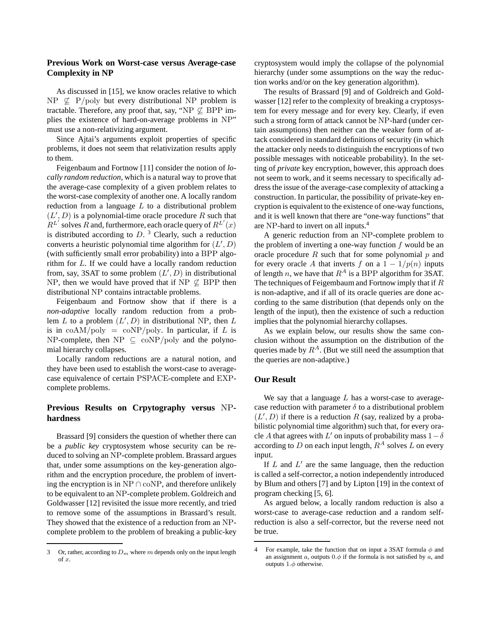# **Previous Work on Worst-case versus Average-case Complexity in NP**

As discussed in [15], we know oracles relative to which  $NP \nsubseteq P/poly$  but every distributional NP problem is tractable. Therefore, any proof that, say, "NP  $\not\subseteq$  BPP implies the existence of hard-on-average problems in NP" must use a non-relativizing argument.

Since Ajtai's arguments exploit properties of specific problems, it does not seem that relativization results apply to them.

Feigenbaum and Fortnow [11] consider the notion of *locally random reduction*, which is a natural way to prove that the average-case complexity of a given problem relates to the worst-case complexity of another one. A locally random reduction from a language  $L$  to a distributional problem  $(L', D)$  is a polynomial-time oracle procedure R such that  $R^{L'}$  solves R and, furthermore, each oracle query of  $R^{L'}(x)$ is distributed according to  $D<sup>3</sup>$ . Clearly, such a reduction converts a heuristic polynomial time algorithm for  $(L', D)$ (with sufficiently small error probability) into a BPP algorithm for L. If we could have a locally random reduction from, say, 3SAT to some problem  $(L', D)$  in distributional NP, then we would have proved that if NP  $\varphi$  BPP then distributional NP contains intractable problems.

Feigenbaum and Fortnow show that if there is a *non-adaptive* locally random reduction from a problem  $L$  to a problem  $(L', D)$  in distributional NP, then  $L$ is in  $coAM/poly = coNP/poly$ . In particular, if L is NP-complete, then  $NP \subseteq \text{coNP/poly}$  and the polynomial hierarchy collapses.

Locally random reductions are a natural notion, and they have been used to establish the worst-case to averagecase equivalence of certain PSPACE-complete and EXPcomplete problems.

# **Previous Results on Crpytography versus** NP**hardness**

Brassard [9] considers the question of whether there can be a *public key* cryptosystem whose security can be reduced to solving an NP-complete problem. Brassard argues that, under some assumptions on the key-generation algorithm and the encryption procedure, the problem of inverting the encryption is in NP  $\cap$  coNP, and therefore unlikely to be equivalent to an NP-complete problem. Goldreich and Goldwasser [12] revisited the issue more recently, and tried to remove some of the assumptions in Brassard's result. They showed that the existence of a reduction from an NPcomplete problem to the problem of breaking a public-key

cryptosystem would imply the collapse of the polynomial hierarchy (under some assumptions on the way the reduction works and/or on the key generation algorithm).

The results of Brassard [9] and of Goldreich and Goldwasser [12] refer to the complexity of breaking a cryptosystem for every message and for every key. Clearly, if even such a strong form of attack cannot be NP-hard (under certain assumptions) then neither can the weaker form of attack considered in standard definitions of security (in which the attacker only needs to distinguish the encryptions of two possible messages with noticeable probability). In the setting of *private* key encryption, however, this approach does not seem to work, and it seems necessary to specifically address the issue of the average-case complexity of attacking a construction. In particular, the possibility of private-key encryption is equivalent to the existence of one-way functions, and it is well known that there are "one-way functions" that are NP-hard to invert on all inputs.<sup>4</sup>

A generic reduction from an NP-complete problem to the problem of inverting a one-way function  $f$  would be an oracle procedure  $R$  such that for some polynomial  $p$  and for every oracle A that inverts f on a  $1 - 1/p(n)$  inputs of length n, we have that  $R^A$  is a BPP algorithm for 3SAT. The techniques of Feigembaum and Fortnow imply that if  $R$ is non-adaptive, and if all of its oracle queries are done according to the same distribution (that depends only on the length of the input), then the existence of such a reduction implies that the polynomial hierarchy collapses.

As we explain below, our results show the same conclusion without the assumption on the distribution of the queries made by  $R^A$ . (But we still need the assumption that the queries are non-adaptive.)

#### **Our Result**

We say that a language  $L$  has a worst-case to averagecase reduction with parameter  $\delta$  to a distributional problem  $(L', D)$  if there is a reduction R (say, realized by a probabilistic polynomial time algorithm) such that, for every oracle A that agrees with L' on inputs of probability mass  $1-\delta$ according to D on each input length,  $R^A$  solves L on every input.

If  $L$  and  $L'$  are the same language, then the reduction is called a self-corrector, a notion independently introduced by Blum and others [7] and by Lipton [19] in the context of program checking [5, 6].

As argued below, a locally random reduction is also a worst-case to average-case reduction and a random selfreduction is also a self-corrector, but the reverse need not be true.

<sup>3</sup> Or, rather, according to  $D_m$  where m depends only on the input length of x.

<sup>4</sup> For example, take the function that on input a 3SAT formula  $\phi$  and an assignment  $\alpha$ , outputs  $0.\phi$  if the formula is not satisfied by  $\alpha$ , and outputs  $1.\phi$  otherwise.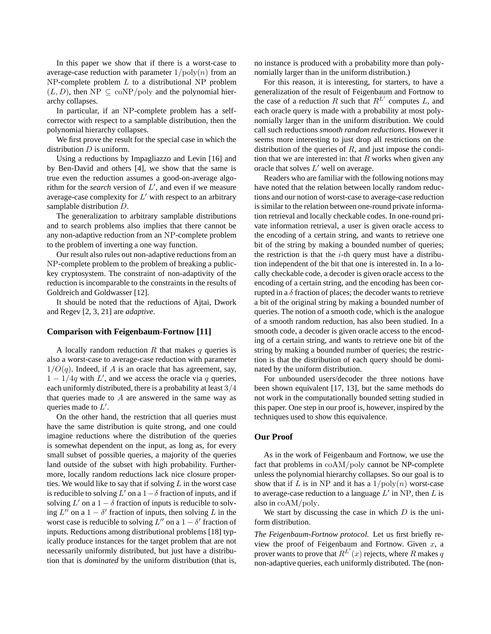In this paper we show that if there is a worst-case to average-case reduction with parameter  $1/\text{poly}(n)$  from an  $NP$ -complete problem  $L$  to a distributional NP problem  $(L, D)$ , then NP  $\subseteq$  coNP/poly and the polynomial hierarchy collapses.

In particular, if an NP-complete problem has a selfcorrector with respect to a samplable distribution, then the polynomial hierarchy collapses.

We first prove the result for the special case in which the distribution  $D$  is uniform.

Using a reductions by Impagliazzo and Levin [16] and by Ben-David and others [4], we show that the same is true even the reduction assumes a good-on-average algorithm for the *search* version of  $L'$ , and even if we measure average-case complexity for  $L'$  with respect to an arbitrary samplable distribution D.

The generalization to arbitrary samplable distributions and to search problems also implies that there cannot be any non-adaptive reduction from an NP-complete problem to the problem of inverting a one way function.

Our result also rules out non-adaptive reductions from an NP-complete problem to the problem of breaking a publickey cryptosystem. The constraint of non-adaptivity of the reduction is incomparable to the constraints in the results of Goldreich and Goldwasser [12].

It should be noted that the reductions of Ajtai, Dwork and Regev [2, 3, 21] are *adaptive*.

#### **Comparison with Feigenbaum-Fortnow [11]**

A locally random reduction  $R$  that makes  $q$  queries is also a worst-case to average-case reduction with parameter  $1/O(q)$ . Indeed, if A is an oracle that has agreement, say,  $1 - 1/4q$  with L', and we access the oracle via q queries, each uniformly distributed, there is a probability at least 3/4 that queries made to  $A$  are answered in the same way as queries made to  $L'$ .

On the other hand, the restriction that all queries must have the same distribution is quite strong, and one could imagine reductions where the distribution of the queries is somewhat dependent on the input, as long as, for every small subset of possible queries, a majority of the queries land outside of the subset with high probability. Furthermore, locally random reductions lack nice closure properties. We would like to say that if solving  $L$  in the worst case is reducible to solving  $L'$  on a  $1-\delta$  fraction of inputs, and if solving  $L'$  on a  $1 - \delta$  fraction of inputs is reducible to solving  $L''$  on a  $1 - \delta'$  fraction of inputs, then solving L in the worst case is reducible to solving  $L''$  on a  $1 - \delta'$  fraction of inputs. Reductions among distributional problems [18] typically produce instances for the target problem that are not necessarily uniformly distributed, but just have a distribution that is *dominated* by the uniform distribution (that is,

no instance is produced with a probability more than polynomially larger than in the uniform distribution.)

For this reason, it is interesting, for starters, to have a generalization of the result of Feigenbaum and Fortnow to the case of a reduction R such that  $R^{L'}$  computes L, and each oracle query is made with a probability at most polynomially larger than in the uniform distribution. We could call such reductions *smooth random reductions*. However it seems more interesting to just drop all restrictions on the distribution of the queries of  $R$ , and just impose the condition that we are interested in: that  $R$  works when given any oracle that solves  $L'$  well on average.

Readers who are familiar with the following notions may have noted that the relation between locally random reductions and our notion of worst-case to average-case reduction is similar to the relation between one-round private information retrieval and locally checkable codes. In one-round private information retrieval, a user is given oracle access to the encoding of a certain string, and wants to retrieve one bit of the string by making a bounded number of queries; the restriction is that the  $i$ -th query must have a distribution independent of the bit that one is interested in. In a locally checkable code, a decoder is given oracle access to the encoding of a certain string, and the encoding has been corrupted in a  $\delta$  fraction of places; the decoder wants to retrieve a bit of the original string by making a bounded number of queries. The notion of a smooth code, which is the analogue of a smooth random reduction, has also been studied. In a smooth code, a decoder is given oracle access to the encoding of a certain string, and wants to retrieve one bit of the string by making a bounded number of queries; the restriction is that the distribution of each query should be dominated by the uniform distribution.

For unbounded users/decoder the three notions have been shown equivalent [17, 13], but the same methods do not work in the computationally bounded setting studied in this paper. One step in our proof is, however, inspired by the techniques used to show this equivalence.

#### **Our Proof**

As in the work of Feigenbaum and Fortnow, we use the fact that problems in coAM/poly cannot be NP-complete unless the polynomial hierarchy collapses. So our goal is to show that if L is in NP and it has a  $1/\text{poly}(n)$  worst-case to average-case reduction to a language  $L'$  in NP, then  $L$  is also in coAM/poly.

We start by discussing the case in which  $D$  is the uniform distribution.

*The Feigenbaum-Fortnow protocol.* Let us first briefly review the proof of Feigenbaum and Fortnow. Given  $x$ , a prover wants to prove that  $R^{L'}(x)$  rejects, where R makes q non-adaptive queries, each uniformly distributed. The (non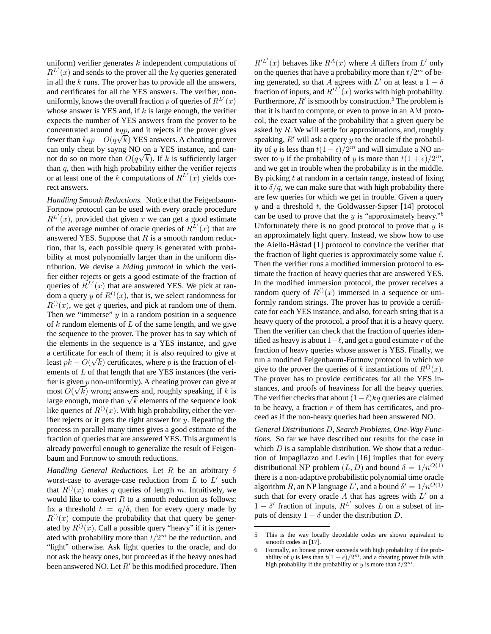uniform) verifier generates  $k$  independent computations of  $R^{L'}(x)$  and sends to the prover all the kq queries generated in all the  $k$  runs. The prover has to provide all the answers, and certificates for all the YES answers. The verifier, nonuniformly, knows the overall fraction  $p$  of queries of  $R^{L'}(x)$ whose answer is YES and, if  $k$  is large enough, the verifier expects the number of YES answers from the prover to be concentrated around kqp, and it rejects if the prover gives fewer than  $kqp - O(q\sqrt{k})$  YES answers. A cheating prover can only cheat by sayng NO on a YES instance, and canand only show by saying 1.0 on a 1.25 module, and can<br>not do so on more than  $O(q\sqrt{k})$ . If k is sufficiently larger than  $q$ , then with high probability either the verifier rejects or at least one of the k computations of  $R^{L'}(x)$  yields correct answers.

*Handling Smooth Reductions.* Notice that the Feigenbaum-Fortnow protocol can be used with every oracle procedure  $R^{L'}(x)$ , provided that given x we can get a good estimate of the average number of oracle queries of  $R^{L'}(x)$  that are answered YES. Suppose that  $R$  is a smooth random reduction, that is, each possible query is generated with probability at most polynomially larger than in the uniform distribution. We devise a *hiding protocol* in which the verifier either rejects or gets a good estimate of the fraction of queries of  $R^{L'}(x)$  that are answered YES. We pick at random a query y of  $R^{(1)}(x)$ , that is, we select randomness for  $R^{(1)}(x)$ , we get q queries, and pick at random one of them. Then we "immerse"  $y$  in a random position in a sequence of  $k$  random elements of  $L$  of the same length, and we give the sequence to the prover. The prover has to say which of the elements in the sequence is a YES instance, and give a certificate for each of them; it is also required to give at least  $pk - O(\sqrt{k})$  certificates, where p is the fraction of elements of L of that length that are YES instances (the verifier is given  $p$  non-uniformly). A cheating prover can give at most  $O(\sqrt{k})$  wrong answers and, roughly speaking, if k is large enough, more than  $\sqrt{k}$  elements of the sequence look like queries of  $R^{(1)}(x)$ . With high probability, either the verifier rejects or it gets the right answer for  $y$ . Repeating the process in parallel many times gives a good estimate of the fraction of queries that are answered YES. This argument is already powerful enough to generalize the result of Feigenbaum and Fortnow to smooth reductions.

*Handling General Reductions.* Let  $R$  be an arbitrary  $\delta$ worst-case to average-case reduction from  $L$  to  $L'$  such that  $R^{(1)}(x)$  makes q queries of length m. Intuitively, we would like to convert  $R$  to a smooth reduction as follows: fix a threshold  $t = q/\delta$ , then for every query made by  $R^{(1)}(x)$  compute the probability that that query be generated by  $R^{(1)}(x)$ . Call a possible query "heavy" if it is generated with probability more than  $t/2^m$  be the reduction, and "light" otherwise. Ask light queries to the oracle, and do not ask the heavy ones, but proceed as if the heavy ones had been answered NO. Let  $R'$  be this modified procedure. Then

 $R^{tL'}(x)$  behaves like  $R^A(x)$  where A differs from L' only on the queries that have a probability more than  $t/2^m$  of being generated, so that A agrees with L' on at least a  $1 - \delta$ fraction of inputs, and  $R^{tL'}(x)$  works with high probability. Furthermore,  $R'$  is smooth by construction.<sup>5</sup> The problem is that it is hard to compute, or even to prove in an AM protocol, the exact value of the probability that a given query be asked by  $R$ . We will settle for approximations, and, roughly speaking,  $R'$  will ask a query y to the oracle if the probability of y is less than  $t(1 - \epsilon)/2^m$  and will simulate a NO answer to y if the probability of y is more than  $t(1+\epsilon)/2^m$ , and we get in trouble when the probability is in the middle. By picking  $t$  at random in a certain range, instead of fixing it to  $\delta/q$ , we can make sure that with high probability there are few queries for which we get in trouble. Given a query y and a threshold  $t$ , the Goldwasser-Sipser [14] protocol can be used to prove that the  $y$  is "approximately heavy."<sup>6</sup> Unfortunately there is no good protocol to prove that  $y$  is an approximately light query. Instead, we show how to use the Aiello-Håstad [1] protocol to convince the verifier that the fraction of light queries is approximately some value  $\ell$ . Then the verifier runs a modified immersion protocol to estimate the fraction of heavy queries that are answered YES. In the modified immersion protocol, the prover receives a random query of  $R^{()}(x)$  immersed in a sequence or uniformly random strings. The prover has to provide a certificate for each YES instance, and also, for each string that is a heavy query of the protocol, a proof that it is a heavy query. Then the verifier can check that the fraction of queries identified as heavy is about  $1-\ell$ , and get a good estimate r of the fraction of heavy queries whose answer is YES. Finally, we run a modified Feigenbaum-Fortnow protocol in which we give to the prover the queries of k instantiations of  $R^{(1)}(x)$ . The prover has to provide certificates for all the YES instances, and proofs of heaviness for all the heavy queries. The verifier checks that about  $(1 - \ell)kq$  queries are claimed to be heavy, a fraction  $r$  of them has certificates, and proceed as if the non-heavy queries had been answered NO.

*General Distributions* D*, Search Problems, One-Way Functions.* So far we have described our results for the case in which  $D$  is a samplable distribution. We show that a reduction of Impagliazzo and Levin [16] implies that for every distributional NP problem  $(L, D)$  and bound  $\delta = 1/n^{O(1)}$ there is a non-adaptive probabilistic polynomial time oracle algorithm  $R$ , an NP language  $L'$ , and a bound  $\delta' = 1/n^{O(1)}$ such that for every oracle  $A$  that has agrees with  $L'$  on a  $1 - \delta'$  fraction of inputs,  $R^{L'}$  solves L on a subset of inputs of density  $1 - \delta$  under the distribution D.

<sup>5</sup> This is the way locally decodable codes are shown equivalent to smooth codes in [17].

<sup>6</sup> Formally, an honest prover succeeds with high probability if the probability of y is less than  $t(1 - \epsilon)/2^m$ , and a cheating prover fails with high probability if the probability of y is more than  $t/2^m$ .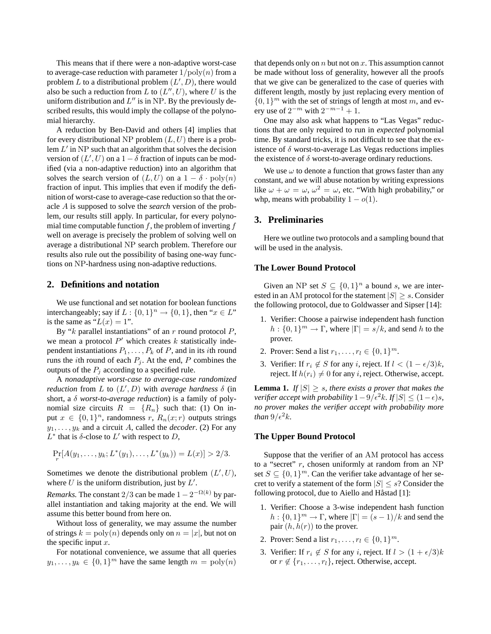This means that if there were a non-adaptive worst-case to average-case reduction with parameter  $1/\text{poly}(n)$  from a problem L to a distributional problem  $(L', D)$ , there would also be such a reduction from L to  $(L'', U)$ , where U is the uniform distribution and  $L''$  is in NP. By the previously described results, this would imply the collapse of the polynomial hierarchy.

A reduction by Ben-David and others [4] implies that for every distributional NP problem  $(L, U)$  there is a problem  $L'$  in NP such that an algorithm that solves the decision version of  $(L', U)$  on a  $1 - \delta$  fraction of inputs can be modified (via a non-adaptive reduction) into an algorithm that solves the search version of  $(L, U)$  on a  $1 - \delta \cdot \text{poly}(n)$ fraction of input. This implies that even if modify the definition of worst-case to average-case reduction so that the oracle A is supposed to solve the *search* version of the problem, our results still apply. In particular, for every polynomial time computable function  $f$ , the problem of inverting  $f$ well on average is precisely the problem of solving well on average a distributional NP search problem. Therefore our results also rule out the possibility of basing one-way functions on NP-hardness using non-adaptive reductions.

#### **2. Definitions and notation**

We use functional and set notation for boolean functions interchangeably; say if  $L: \{0,1\}^n \to \{0,1\}$ , then " $x \in L$ " is the same as " $L(x) = 1$ ".

By " $k$  parallel instantiations" of an  $r$  round protocol  $P$ , we mean a protocol  $P'$  which creates k statistically independent instantiations  $P_1, \ldots, P_k$  of P, and in its *i*th round runs the *i*th round of each  $P_j$ . At the end, P combines the outputs of the  $P_j$  according to a specified rule.

A *nonadaptive worst-case to average-case randomized reduction* from  $L$  to  $(L', D)$  with *average hardness*  $\delta$  (in short, a δ *worst-to-average reduction*) is a family of polynomial size circuits  $R = \{R_n\}$  such that: (1) On input  $x \in \{0,1\}^n$ , randomness  $r$ ,  $R_n(x; r)$  outputs strings  $y_1, \ldots, y_k$  and a circuit A, called the *decoder*. (2) For any  $L^*$  that is  $\delta$ -close to  $L'$  with respect to  $D$ ,

$$
\Pr_r[A(y_1,\ldots,y_k;L^*(y_1),\ldots,L^*(y_k)) = L(x)] > 2/3.
$$

Sometimes we denote the distributional problem  $(L', U)$ , where  $U$  is the uniform distribution, just by  $L'$ .

*Remarks.* The constant 2/3 can be made  $1 - 2^{-\Omega(k)}$  by parallel instantiation and taking majority at the end. We will assume this better bound from here on.

Without loss of generality, we may assume the number of strings  $k = \text{poly}(n)$  depends only on  $n = |x|$ , but not on the specific input  $x$ .

For notational convenience, we assume that all queries  $y_1, \ldots, y_k \in \{0, 1\}^m$  have the same length  $m = \text{poly}(n)$ 

that depends only on  $n$  but not on  $x$ . This assumption cannot be made without loss of generality, however all the proofs that we give can be generalized to the case of queries with different length, mostly by just replacing every mention of  $\{0, 1\}^m$  with the set of strings of length at most m, and every use of  $2^{-m}$  with  $2^{-m-1} + 1$ .

One may also ask what happens to "Las Vegas" reductions that are only required to run in *expected* polynomial time. By standard tricks, it is not difficult to see that the existence of  $\delta$  worst-to-average Las Vegas reductions implies the existence of  $\delta$  worst-to-average ordinary reductions.

We use  $\omega$  to denote a function that grows faster than any constant, and we will abuse notation by writing expressions like  $\omega + \omega = \omega$ ,  $\omega^2 = \omega$ , etc. "With high probability," or whp, means with probability  $1 - o(1)$ .

## **3. Preliminaries**

Here we outline two protocols and a sampling bound that will be used in the analysis.

#### **The Lower Bound Protocol**

Given an NP set  $S \subseteq \{0,1\}^n$  a bound s, we are interested in an AM protocol for the statement  $|S| \geq s$ . Consider the following protocol, due to Goldwasser and Sipser [14]:

- 1. Verifier: Choose a pairwise independent hash function  $h: \{0,1\}^m \to \Gamma$ , where  $|\Gamma| = s/k$ , and send h to the prover.
- 2. Prover: Send a list  $r_1, ..., r_l \in \{0, 1\}^m$ .
- 3. Verifier: If  $r_i \notin S$  for any i, reject. If  $l < (1 \epsilon/3)k$ , reject. If  $h(r_i) \neq 0$  for any i, reject. Otherwise, accept.

**Lemma 1.** *If*  $|S| \geq s$ *, there exists a prover that makes the verifier accept with probability*  $1-9/\epsilon^2 k$ *. If*  $|S| \leq (1-\epsilon)s$ *, no prover makes the verifier accept with probability more than*  $9/\epsilon^2 k$ *.* 

#### **The Upper Bound Protocol**

Suppose that the verifier of an AM protocol has access to a "secret"  $r$ , chosen uniformly at random from an NP set  $S \subseteq \{0,1\}^m$ . Can the verifier take advantage of her secret to verify a statement of the form  $|S| \leq s$ ? Consider the following protocol, due to Aiello and Håstad [1]:

- 1. Verifier: Choose a 3-wise independent hash function  $h: \{0,1\}^m \to \Gamma$ , where  $|\Gamma| = (s-1)/k$  and send the pair  $(h, h(r))$  to the prover.
- 2. Prover: Send a list  $r_1, ..., r_l \in \{0, 1\}^m$ .
- 3. Verifier: If  $r_i \notin S$  for any i, reject. If  $l > (1 + \epsilon/3)k$ or  $r \notin \{r_1, \ldots, r_l\}$ , reject. Otherwise, accept.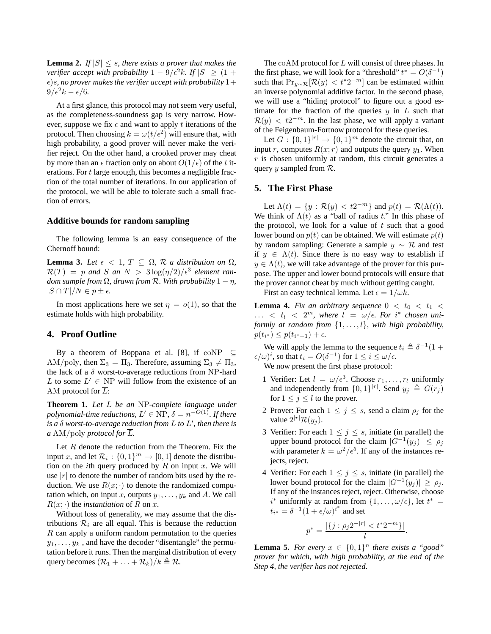**Lemma 2.** *If*  $|S| \leq s$ , there exists a prover that makes the *verifier accept with probability*  $1 - 9/\epsilon^2 k$ *. If*  $|S| > (1 + \epsilon^2)k$  $\epsilon$ )s, no prover makes the verifier accept with probability  $1+$  $9/\epsilon^2 k - \epsilon/6$ .

At a first glance, this protocol may not seem very useful, as the completeness-soundness gap is very narrow. However, suppose we fix  $\epsilon$  and want to apply t iterations of the protocol. Then choosing  $k = \omega(t/\epsilon^2)$  will ensure that, with high probability, a good prover will never make the verifier reject. On the other hand, a crooked prover may cheat by more than an  $\epsilon$  fraction only on about  $O(1/\epsilon)$  of the t iterations. For t large enough, this becomes a negligible fraction of the total number of iterations. In our application of the protocol, we will be able to tolerate such a small fraction of errors.

#### **Additive bounds for random sampling**

The following lemma is an easy consequence of the Chernoff bound:

**Lemma 3.** *Let*  $\epsilon$  < 1,  $T \subseteq \Omega$ ,  $\mathcal{R}$  *a* distribution on  $\Omega$ ,  $\mathcal{R}(T) = p$  and S an  $N > 3\log(\eta/2)/\epsilon^3$  element ran*dom sample from*  $\Omega$ *, drawn from*  $\mathcal R$ *. With probability*  $1 - \eta$ *,*  $|S \cap T|/N \in p \pm \epsilon$ .

In most applications here we set  $\eta = o(1)$ , so that the estimate holds with high probability.

# **4. Proof Outline**

By a theorem of Boppana et al. [8], if  $coNP \subseteq$ AM/poly, then  $\Sigma_3 = \Pi_3$ . Therefore, assuming  $\Sigma_3 \neq \Pi_3$ , the lack of a  $\delta$  worst-to-average reductions from NP-hard L to some  $L' \in \mathbf{NP}$  will follow from the existence of an AM protocol for  $\overline{L}$ :

**Theorem 1.** *Let* L *be an* NP*-complete language under polynomial-time reductions,*  $L' \in \text{NP}$ ,  $\delta = n^{-O(1)}$ *. If there is a* δ *worst-to-average reduction from* L *to* L ′ *, then there is a* AM/poly *protocol* for  $\overline{L}$ .

Let  $R$  denote the reduction from the Theorem. Fix the input x, and let  $\mathcal{R}_i: \{0,1\}^m \to [0,1]$  denote the distribution on the *i*th query produced by  $R$  on input  $x$ . We will use  $|r|$  to denote the number of random bits used by the reduction. We use  $R(x; \cdot)$  to denote the randomized computation which, on input x, outputs  $y_1, \ldots, y_k$  and A. We call  $R(x; \cdot)$  the *instantiation* of R on x.

Without loss of generality, we may assume that the distributions  $\mathcal{R}_i$  are all equal. This is because the reduction  $R$  can apply a uniform random permutation to the queries  $y_1, \ldots, y_k$ , and have the decoder "disentangle" the permutation before it runs. Then the marginal distribution of every query becomes  $(\mathcal{R}_1 + \ldots + \mathcal{R}_k)/k \triangleq \mathcal{R}$ .

The coAM protocol for L will consist of three phases. In the first phase, we will look for a "threshold"  $t^* = O(\delta^{-1})$ such that  $Pr_{y \sim \mathcal{R}}[\mathcal{R}(y) < t^*2^{-m}]$  can be estimated within an inverse polynomial additive factor. In the second phase, we will use a "hiding protocol" to figure out a good estimate for the fraction of the queries  $y$  in  $L$  such that  $\mathcal{R}(y) < t2^{-m}$ . In the last phase, we will apply a variant of the Feigenbaum-Fortnow protocol for these queries.

Let  $G: \{0,1\}^{|r|} \to \{0,1\}^m$  denote the circuit that, on input r, computes  $R(x; r)$  and outputs the query  $y_1$ . When  $r$  is chosen uniformly at random, this circuit generates a query y sampled from  $\mathcal{R}$ .

# **5. The First Phase**

Let  $\Lambda(t) = \{y : \mathcal{R}(y) < t2^{-m}\}\$  and  $p(t) = \mathcal{R}(\Lambda(t)).$ We think of  $\Lambda(t)$  as a "ball of radius t." In this phase of the protocol, we look for a value of  $t$  such that a good lower bound on  $p(t)$  can be obtained. We will estimate  $p(t)$ by random sampling: Generate a sample  $y \sim \mathcal{R}$  and test if  $y \in \Lambda(t)$ . Since there is no easy way to establish if  $y \in \Lambda(t)$ , we will take advantage of the prover for this purpose. The upper and lower bound protocols will ensure that the prover cannot cheat by much without getting caught.

First an easy technical lemma. Let  $\epsilon = 1/\omega k$ .

**Lemma 4.** *Fix an arbitrary sequence*  $0 < t_0 < t_1 <$  $\ldots$  <  $t_l$  <  $2^m$ , where  $l = \omega/\epsilon$ . For i<sup>\*</sup> chosen uni*formly at random from* {1, . . . , l}*, with high probability,*  $p(t_{i^*}) \leq p(t_{i^*-1}) + \epsilon.$ 

We will apply the lemma to the sequence  $t_i \triangleq \delta^{-1}(1 +$  $(\epsilon/\omega)^i$ , so that  $t_i = O(\delta^{-1})$  for  $1 \le i \le \omega/\epsilon$ . We now present the first phase protocol:

- 1 Verifier: Let  $l = \omega/\epsilon^3$ . Choose  $r_1, \ldots, r_l$  uniformly and independently from  $\{0,1\}^{|r|}$ . Send  $y_j \triangleq G(r_j)$ for  $1 \leq j \leq l$  to the prover.
- 2 Prover: For each  $1 \leq j \leq s$ , send a claim  $\rho_j$  for the value  $2^{|r|} \mathcal{R}(y_j)$ .
- 3 Verifier: For each  $1 \leq j \leq s$ , initiate (in parallel) the upper bound protocol for the claim  $|G^{-1}(y_j)| \le \rho_j$ with parameter  $k = \omega^2/\epsilon^5$ . If any of the instances rejects, reject.
- 4 Verifier: For each  $1 \leq j \leq s$ , initiate (in parallel) the lower bound protocol for the claim  $|G^{-1}(y_j)| \ge \rho_j$ . If any of the instances reject, reject. Otherwise, choose  $i^*$  uniformly at random from  $\{1, \ldots, \omega/\epsilon\}$ , let  $t^* =$  $t_{i^*} = \delta^{-1} (1 + \epsilon/\omega)^{i^*}$  and set

$$
p^* = \frac{|\{j : \rho_j 2^{-|r|} < t^* 2^{-m}\}|}{l}.
$$

**Lemma 5.** *For every*  $x \in \{0,1\}^n$  *there exists a "good" prover for which, with high probability, at the end of the Step 4, the verifier has not rejected.*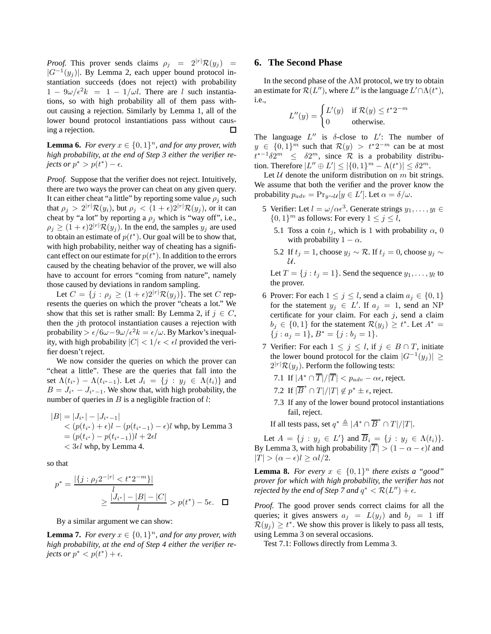*Proof.* This prover sends claims  $\rho_i = 2^{|r|} \mathcal{R}(y_i) =$  $|G^{-1}(y_j)|$ . By Lemma 2, each upper bound protocol instantiation succeeds (does not reject) with probability  $1 - 9\omega/\epsilon^2 k = 1 - 1/\omega l$ . There are l such instantiations, so with high probability all of them pass without causing a rejection. Similarly by Lemma 1, all of the lower bound protocol instantiations pass without causing a rejection. П

**Lemma 6.** *For every*  $x \in \{0,1\}^n$ , and for any prover, with *high probability, at the end of Step 3 either the verifier rejects or*  $p^* > p(t^*) - \epsilon$ *.* 

*Proof.* Suppose that the verifier does not reject. Intuitively, there are two ways the prover can cheat on any given query. It can either cheat "a little" by reporting some value  $\rho_i$  such that  $\rho_j > 2^{|r|} \mathcal{R}(y_i)$ , but  $\rho_j < (1 + \epsilon) 2^{|r|} \mathcal{R}(y_j)$ , or it can cheat by "a lot" by reporting a  $\rho_j$  which is "way off", i.e.,  $\rho_i \geq (1+\epsilon)2^{|r|}\mathcal{R}(y_i)$ . In the end, the samples  $y_i$  are used to obtain an estimate of  $p(t^*)$ . Our goal will be to show that, with high probability, neither way of cheating has a significant effect on our estimate for  $p(t^*)$ . In addition to the errors caused by the cheating behavior of the prover, we will also have to account for errors "coming from nature", namely those caused by deviations in random sampling.

Let  $C = \{j : \rho_j \geq (1 + \epsilon)2^{|r|} \mathcal{R}(y_j) \}$ . The set C represents the queries on which the prover "cheats a lot." We show that this set is rather small: By Lemma 2, if  $j \in C$ , then the jth protocol instantiation causes a rejection with probability >  $\epsilon/6\omega - 9\omega/\epsilon^2 k = \epsilon/\omega$ . By Markov's inequality, with high probability  $|C| < 1/\epsilon < \epsilon l$  provided the verifier doesn't reject.

We now consider the queries on which the prover can "cheat a little". These are the queries that fall into the set  $\Lambda(t_{i^*}) - \Lambda(t_{i^*-1})$ . Let  $J_i = \{j : y_j \in \Lambda(t_i)\}\$ and  $B = J_{i^*} - J_{i^*-1}$ . We show that, with high probability, the number of queries in  $B$  is a negligible fraction of  $l$ :

$$
|B| = |J_{i^*}| - |J_{i^*-1}|
$$
  
<  $(p(t_{i^*}) + \epsilon)l - (p(t_{i^*-1}) - \epsilon)l$  whp, by Lemma 3  
 $= (p(t_{i^*}) - p(t_{i^*-1}))l + 2\epsilon l$   
<  $3\epsilon l$  whp, by Lemma 4.

so that

$$
p^* = \frac{|\{j : \rho_j 2^{-|r|} < t^* 2^{-m}\}|}{l}
$$

$$
\geq \frac{|J_{i^*}| - |B| - |C|}{l} > p(t^*) - 5\epsilon. \quad \Box
$$

By a similar argument we can show:

**Lemma 7.** *For every*  $x \in \{0, 1\}^n$ *, and for any prover, with high probability, at the end of Step 4 either the verifier rejects or*  $p^* < p(t^*) + \epsilon$ *.* 

# **6. The Second Phase**

In the second phase of the AM protocol, we try to obtain an estimate for  $\mathcal{R}(L'')$ , where  $L''$  is the language  $L' \cap \Lambda(t^*)$ , i.e.,

$$
L''(y) = \begin{cases} L'(y) & \text{if } \mathcal{R}(y) \le t^* 2^{-m} \\ 0 & \text{otherwise.} \end{cases}
$$

The language  $L''$  is  $\delta$ -close to  $L'$ : The number of  $y \in \{0,1\}^m$  such that  $\mathcal{R}(y) > t^*2^{-m}$  can be at most  $t^{*-1}\delta 2^m \leq \delta 2^m$ , since R is a probability distribution. Therefore  $|L'' \oplus L'| \leq |\{0, 1\}^m - \Lambda(t^*)| \leq \delta 2^m$ .

Let  $U$  denote the uniform distribution on m bit strings. We assume that both the verifier and the prover know the probability  $p_{adv} = \Pr_{y \sim \mathcal{U}}[y \in L']$ . Let  $\alpha = \delta/\omega$ .

- 5 Verifier: Let  $l = \omega/\alpha \epsilon^3$ . Generate strings  $y_1, \ldots, y_l \in$  $\{0, 1\}^m$  as follows: For every  $1 \le j \le l$ ,
	- 5.1 Toss a coin  $t_j$ , which is 1 with probability  $\alpha$ , 0 with probability  $1 - \alpha$ .
	- 5.2 If  $t_j = 1$ , choose  $y_j \sim \mathcal{R}$ . If  $t_j = 0$ , choose  $y_j \sim$ U.

Let  $T = \{j : t_j = 1\}$ . Send the sequence  $y_1, \ldots, y_l$  to the prover.

- 6 Prover: For each  $1 \leq j \leq l$ , send a claim  $a_j \in \{0, 1\}$ for the statement  $y_j \in L'$ . If  $a_j = 1$ , send an NP certificate for your claim. For each  $j$ , send a claim  $b_j \in \{0,1\}$  for the statement  $\mathcal{R}(y_j) \geq t^*$ . Let  $A^* =$  $\{j : a_j = 1\}, B^* = \{j : b_j = 1\}.$
- 7 Verifier: For each  $1 \leq j \leq l$ , if  $j \in B \cap T$ , initiate the lower bound protocol for the claim  $|G^{-1}(y_j)| \ge$  $2^{|r|} \mathcal{R}(y_j)$ . Perform the following tests:

7.1 If 
$$
|A^* \cap \overline{T}|/|\overline{T}|
$$
  $\geq$   $p_{adv} - \alpha \epsilon$ , reject.

- 7.2 If  $|\overline{B}^* \cap T|/|T| \notin p^* \pm \epsilon$ , reject.
- 7.3 If any of the lower bound protocol instantiations fail, reject.

If all tests pass, set  $q^* \triangleq |A^* \cap \overline{B}^* \cap T|/|T|$ .

Let  $A = \{j : y_j \in L'\}$  and  $\overline{B}_i = \{j : y_j \in \Lambda(t_i)\}.$ By Lemma 3, with high probability  $|\overline{T}| > (1 - \alpha - \epsilon)l$  and  $|T| > (\alpha - \epsilon)l \ge \alpha l/2.$ 

**Lemma 8.** *For every*  $x \in \{0,1\}^n$  *there exists a "good" prover for which with high probability, the verifier has not rejected by the end of Step 7 and*  $q^* < \mathcal{R}(L'') + \epsilon$ *.* 

*Proof.* The good prover sends correct claims for all the queries; it gives answers  $a_i = L(y_i)$  and  $b_i = 1$  iff  $\mathcal{R}(y_j) \geq t^*$ . We show this prover is likely to pass all tests, using Lemma 3 on several occasions.

Test 7.1: Follows directly from Lemma 3.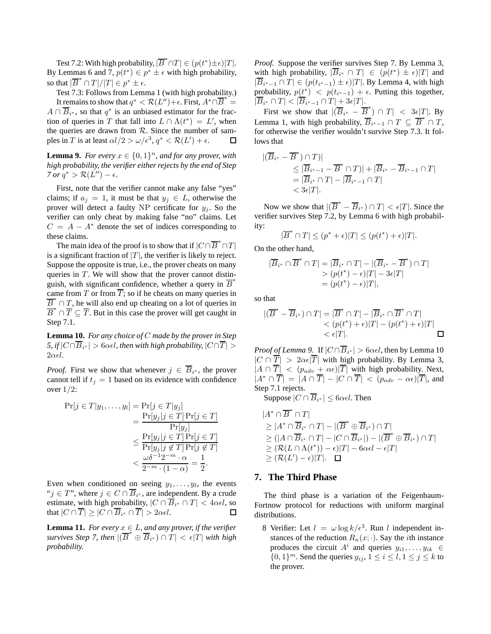Test 7.2: With high probability,  $|\overline{B}^* \cap T| \in (p(t^*) \pm \epsilon)|T|$ . By Lemmas 6 and 7,  $p(t^*) \in p^* \pm \epsilon$  with high probability, so that  $|\overline{B}^* \cap T|/|T| \in p^* \pm \epsilon$ .

Test 7.3: Follows from Lemma 1 (with high probability.) It remains to show that  $q^* < \mathcal{R}(L'') + \epsilon$ . First,  $A^* \cap \overline{B}^* =$  $A \cap \overline{B}_{i^*}$ , so that  $q^*$  is an unbiased estimator for the fraction of queries in T that fall into  $L \cap \Lambda(t^*) = L'$ , when the queries are drawn from R. Since the number of samples in T is at least  $\alpha l/2 > \omega/\epsilon^3$ ,  $q^* < \mathcal{R}(L') + \epsilon$ . ples in T is at least  $\alpha l/2 > \omega/\epsilon^3$ ,  $q^* < \mathcal{R}(L') + \epsilon$ .

**Lemma 9.** *For every*  $x \in \{0,1\}^n$ *, and for any prover, with high probability, the verifier either rejects by the end of Step*  $7 \text{ or } q^* > \mathcal{R}(L'') - \epsilon.$ 

First, note that the verifier cannot make any false "yes" claims; if  $a_i = 1$ , it must be that  $y_i \in L$ , otherwise the prover will detect a faulty NP certificate for  $y_i$ . So the verifier can only cheat by making false "no" claims. Let  $C = A - A^*$  denote the set of indices corresponding to these claims.

The main idea of the proof is to show that if  $|C \cap \overline{B}^* \cap T|$ is a significant fraction of  $|T|$ , the verifier is likely to reject. Suppose the opposite is true, i.e., the prover cheats on many queries in  $T$ . We will show that the prover cannot distinguish, with significant confidence, whether a query in  $\overline{B}^*$ came from T or from  $\overline{T}$ ; so if he cheats on many queries in  $\overline{B}_{\ast}^* \cap T$ , he will also end up cheating on a lot of queries in  $\overline{B}^* \cap \overline{T} \subseteq \overline{T}$ . But in this case the prover will get caught in Step 7.1.

**Lemma 10.** *For any choice of* C *made by the prover in Step*  $5$ , if  $|C \cap B_{i^*}| > 6$ α $\epsilon l$ , then with high probability,  $|C \cap T| > 6$  $2\alpha \epsilon l$ .

*Proof.* First we show that whenever  $j \in \overline{B}_{i^*}$ , the prover cannot tell if  $t<sub>j</sub> = 1$  based on its evidence with confidence over 1/2:

$$
\Pr[j \in T | y_1, \dots, y_l] = \Pr[j \in T | y_j] \\
= \frac{\Pr[y_j | j \in T] \Pr[j \in T]}{\Pr[y_j]} \\
\leq \frac{\Pr[y_j | j \in T] \Pr[j \in T]}{\Pr[y_j | j \notin T] \Pr[j \notin T]} \\
< \frac{\omega \delta^{-1} 2^{-m} \cdot \alpha}{2^{-m} \cdot (1 - \alpha)} = \frac{1}{2}.
$$

Even when conditioned on seeing  $y_1, \ldots, y_l$ , the events " $j \in T$ ", where  $j \in C \cap B_{i^*}$ , are independent. By a crude estimate, with high probability,  $|C \cap B_{i^*} \cap T| < 4\alpha\epsilon l$ , so that  $|C \cap T| \geq |C \cap B_{i^*} \cap T| > 2\alpha\epsilon l$ .

**Lemma 11.** *For every*  $x \in L$ *, and any prover, if the verifier survives Step 7, then*  $|(\overline{B}^* \oplus \overline{B}_{i^*}) \cap T| < \epsilon |T|$  *with high probability.*

*Proof.* Suppose the verifier survives Step 7. By Lemma 3, with high probability,  $|\overline{B}_{i^*} \cap T| \in (p(t^*) \pm \epsilon)|T|$  and  $|\overline{B}_{i^*-1} \cap T| \in (p(t_{i^*-1}) \pm \epsilon)|T|$ . By Lemma 4, with high probability,  $p(t^*)$  <  $p(t_{i^*-1})$  +  $\epsilon$ . Putting this together,  $|B_{i^*} \cap T| < |B_{i^*-1} \cap T| + 3\epsilon|T|.$ 

First we show that  $|(\overline{B}_{i^*} - \overline{B}^*) \cap T| < 3\epsilon |T|$ . By Lemma 1, with high probability,  $\overline{B}_{i^*-1} \cap T \subseteq \overline{B}^* \cap T$ , for otherwise the verifier wouldn't survive Step 7.3. It follows that

$$
\begin{aligned} |(\overline{B}_{i^*} - \overline{B}^*) \cap T)| \\ &\leq |\overline{B}_{i^*-1} - \overline{B}^* \cap T)| + |\overline{B}_{i^*} - \overline{B}_{i^*-1} \cap T| \\ &= |\overline{B}_{i^*} \cap T| - |\overline{B}_{i^*-1} \cap T| \\ &< 3\epsilon|T|. \end{aligned}
$$

Now we show that  $|(\overline{B}^* - \overline{B}_{i^*}) \cap T| < \epsilon |T|$ . Since the verifier survives Step 7.2, by Lemma 6 with high probability:

$$
|\overline{B}^* \cap T| \le (p^* + \epsilon)|T| \le (p(t^*) + \epsilon)|T|.
$$

On the other hand,

$$
|\overline{B}_{i^*} \cap \overline{B}^* \cap T| = |\overline{B}_{i^*} \cap T| - |(\overline{B}_{i^*} - \overline{B}^*) \cap T|
$$
  
> 
$$
(p(t^*) - \epsilon)|T| - 3\epsilon|T|
$$
  
= 
$$
(p(t^*) - \epsilon)|T|,
$$

so that

$$
|(\overline{B}^* - \overline{B}_{i^*}) \cap T| = |\overline{B}^* \cap T| - |\overline{B}_{i^*} \cap \overline{B}^* \cap T|
$$
  
< 
$$
< (p(t^*) + \epsilon)|T| - (p(t^*) + \epsilon)|T|
$$
  
< 
$$
< \epsilon|T|.
$$

*Proof of Lemma 9.* If  $|C \cap B_{i^*}| > 6\alpha\epsilon l$ , then by Lemma 10  $|C \cap \overline{T}| > 2\alpha \epsilon |\overline{T}|$  with high probability. By Lemma 3,  $|A \cap \overline{T}| \langle (p_{adv} + \alpha \epsilon) | \overline{T}|$  with high probability. Next,  $|A^* \cap \overline{T}| = |A \cap \overline{T}| - |C \cap \overline{T}| < (p_{adv} - \alpha \epsilon) |\overline{T}|$ , and Step 7.1 rejects.

Suppose  $|C \cap B_{i^*}| \leq 6\alpha\epsilon l$ . Then

$$
|A^* \cap \overline{B}^* \cap T|
$$
  
\n
$$
\geq |A^* \cap \overline{B}_{i^*} \cap T| - |(\overline{B}^* \oplus \overline{B}_{i^*}) \cap T|
$$
  
\n
$$
\geq (|A \cap \overline{B}_{i^*} \cap T| - |C \cap \overline{B}_{i^*}|) - |(\overline{B}^* \oplus \overline{B}_{i^*}) \cap T|
$$
  
\n
$$
\geq (R(L \cap \Lambda(t^*)) - \epsilon)|T| - 6\alpha \epsilon l - \epsilon|T|
$$
  
\n
$$
\geq (R(L') - \epsilon)|T|.
$$

### **7. The Third Phase**

The third phase is a variation of the Feigenbaum-Fortnow protocol for reductions with uniform marginal distributions.

8 Verifier: Let  $l = \omega \log k / \epsilon^3$ . Run l independent instances of the reduction  $R_n(x; \cdot)$ . Say the *i*th instance produces the circuit  $A^i$  and queries  $y_{i1}, \ldots, y_{ik} \in$  $\{0,1\}^m$ . Send the queries  $y_{ij}$ ,  $1 \le i \le l$ ,  $1 \le j \le k$  to the prover.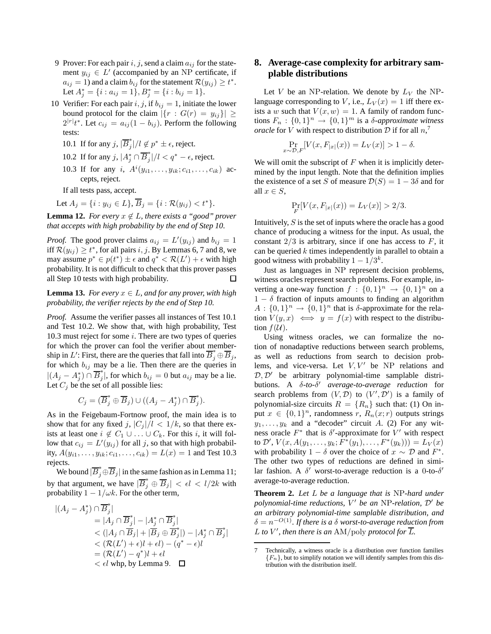- 9 Prover: For each pair  $i, j$ , send a claim  $a_{ij}$  for the statement  $y_{ij} \in L'$  (accompanied by an NP certificate, if  $a_{ij} = 1$ ) and a claim  $b_{ij}$  for the statement  $\mathcal{R}(y_{ij}) \geq t^*$ . Let  $A_j^* = \{i : a_{ij} = 1\}, B_j^* = \{i : b_{ij} = 1\}.$
- 10 Verifier: For each pair  $i, j$ , if  $b_{ij} = 1$ , initiate the lower bound protocol for the claim  $|\{r : G(r) = y_{ij}\}| \ge$  $2^{|r|}t^*$ . Let  $c_{ij} = a_{ij}(1 - b_{ij})$ . Perform the following tests:
	- 10.1 If for any  $j$ ,  $|\overline{B}_j^*$  $j^*|/l \not\in p^* \pm \epsilon$ , reject.
	- 10.2 If for any j,  $|A_j^* \cap \overline{B}_j^*$  $j^*|/l < q^* - \epsilon$ , reject.
	- 10.3 If for any *i*,  $A^{i}(y_{i1},...,y_{ik};c_{i1},...,c_{ik})$  accepts, reject.

If all tests pass, accept.

Let  $A_i = \{i : y_{ij} \in L\}, \overline{B}_i = \{i : \mathcal{R}(y_{ii}) < t^*\}.$ 

**Lemma 12.** *For every*  $x \notin L$ *, there exists a "good" prover that accepts with high probability by the end of Step 10.*

*Proof.* The good prover claims  $a_{ij} = L'(y_{ij})$  and  $b_{ij} = 1$ iff  $\mathcal{R}(y_{ij}) \ge t^*$ , for all pairs  $i, j$ . By Lemmas 6, 7 and 8, we may assume  $p^* \in p(t^*) \pm \epsilon$  and  $q^* < \mathcal{R}(L') + \epsilon$  with high probability. It is not difficult to check that this prover passes all Step 10 tests with high probability.  $\Box$ 

**Lemma 13.** *For every*  $x \in L$ *, and for any prover, with high probability, the verifier rejects by the end of Step 10.*

*Proof.* Assume the verifier passes all instances of Test 10.1 and Test 10.2. We show that, with high probability, Test 10.3 must reject for some  $i$ . There are two types of queries for which the prover can fool the verifier about membership in L': First, there are the queries that fall into  $\overline{B}_{j}^{*} \oplus \overline{B}_{j}$ , for which  $b_{ij}$  may be a lie. Then there are the queries in  $|(A_j - A_j^*) \cap \overline{B}_j^*$  $j<sub>j</sub>$ , for which  $b_{ij} = 0$  but  $a_{ij}$  may be a lie. Let  $C_j$  be the set of all possible lies:

$$
C_j = (\overline{B}_j^* \oplus \overline{B}_j) \cup ((A_j - A_j^*) \cap \overline{B}_j^*).
$$

As in the Feigebaum-Fortnow proof, the main idea is to show that for any fixed j,  $|C_j|/l < 1/k$ , so that there exists at least one  $i \notin C_1 \cup \ldots \cup C_k$ . For this i, it will follow that  $c_{ij} = L'(y_{ij})$  for all j, so that with high probability,  $A(y_{i1},..., y_{ik}; c_{i1},..., c_{ik}) = L(x) = 1$  and Test 10.3 rejects.

We bound  $|\overline{B}_j^* \oplus \overline{B}_j|$  in the same fashion as in Lemma 11; by that argument, we have  $|\overline{B}_j^* \oplus \overline{B}_j| < \epsilon l < l/2k$  with probability  $1 - 1/\omega k$ . For the other term,

$$
|(A_j - A_j^*) \cap \overline{B}_j^*|
$$
  
\n= |A\_j \cap \overline{B}\_j^\*| - |A\_j^\* \cap \overline{B}\_j^\*|  
\n< (|A\_j \cap \overline{B}\_j| + |\overline{B}\_j \oplus \overline{B}\_j^\*|) - |A\_j^\* \cap \overline{B}\_j^\*|  
\n< (R(L') + \epsilon)l + \epsilon l) - (q^\* - \epsilon)l  
\n= (R(L') - q^\*)l + \epsilon l  
\n< \epsilon l \text{ whp, by Lemma 9. } \square

# **8. Average-case complexity for arbitrary samplable distributions**

Let V be an NP-relation. We denote by  $L_V$  the NPlanguage corresponding to V, i.e.,  $L_V(x) = 1$  iff there exists a w such that  $V(x, w) = 1$ . A family of random functions  $F_n$ :  $\{0,1\}^n \rightarrow \{0,1\}^m$  is a  $\delta$ -approximate witness *oracle* for *V* with respect to distribution  $D$  if for all  $n<sub>i</sub>$ <sup>7</sup>

$$
\Pr_{x \sim \mathcal{D}, F} [V(x, F_{|x|}(x)) = L_V(x)] > 1 - \delta.
$$

We will omit the subscript of  $F$  when it is implicitly determined by the input length. Note that the definition implies the existence of a set S of measure  $\mathcal{D}(S) = 1 - 3\delta$  and for all  $x \in S$ ,

$$
\Pr_{F}[V(x, F_{|x|}(x)) = L_V(x)] > 2/3.
$$

Intuitively, S is the set of inputs where the oracle has a good chance of producing a witness for the input. As usual, the constant  $2/3$  is arbitrary, since if one has access to  $F$ , it can be queried  $k$  times independently in parallel to obtain a good witness with probability  $1 - 1/3^k$ .

Just as languages in NP represent decision problems, witness oracles represent search problems. For example, inverting a one-way function  $f: \{0,1\}^n \to \{0,1\}^n$  on a  $1 - \delta$  fraction of inputs amounts to finding an algorithm  $A: \{0,1\}^n \to \{0,1\}^n$  that is  $\delta$ -approximate for the relation  $V(y, x) \iff y = f(x)$  with respect to the distribution  $f(\mathcal{U})$ .

Using witness oracles, we can formalize the notion of nonadaptive reductions between search problems, as well as reductions from search to decision problems, and vice-versa. Let  $V, V'$  be NP relations and  $D, D'$  be arbitrary polynomial-time samplable distributions. A δ*-to-*δ ′ *average-to-average reduction* for search problems from  $(V, \mathcal{D})$  to  $(V', \mathcal{D}')$  is a family of polynomial-size circuits  $R = \{R_n\}$  such that: (1) On input  $x \in \{0,1\}^n$ , randomness  $r$ ,  $R_n(x; r)$  outputs strings  $y_1, \ldots, y_k$  and a "decoder" circuit A. (2) For any witness oracle  $F^*$  that is  $\delta'$ -approximate for  $V'$  with respect to  $\mathcal{D}', V(x, A(y_1, \ldots, y_k; F^*(y_1), \ldots, F^*(y_k))) = L_V(x)$ with probability  $1 - \delta$  over the choice of  $x \sim \mathcal{D}$  and  $F^*$ . The other two types of reductions are defined in similar fashion. A  $\delta'$  worst-to-average reduction is a 0-to- $\delta'$ average-to-average reduction.

**Theorem 2.** *Let* L *be a language that is* NP*-hard under polynomial-time reductions,* V ′ *be an* NP*-relation,* <sup>D</sup>′ *be an arbitrary polynomial-time samplable distribution, and*  $\delta = n^{-O(1)}.$  If there is a  $\delta$  worst-to-average reduction from L to V', then there is an  $AM/poly$  protocol for  $\overline{L}$ .

<sup>7</sup> Technically, a witness oracle is a distribution over function families  ${F_n}$ , but to simplify notation we will identify samples from this distribution with the distribution itself.